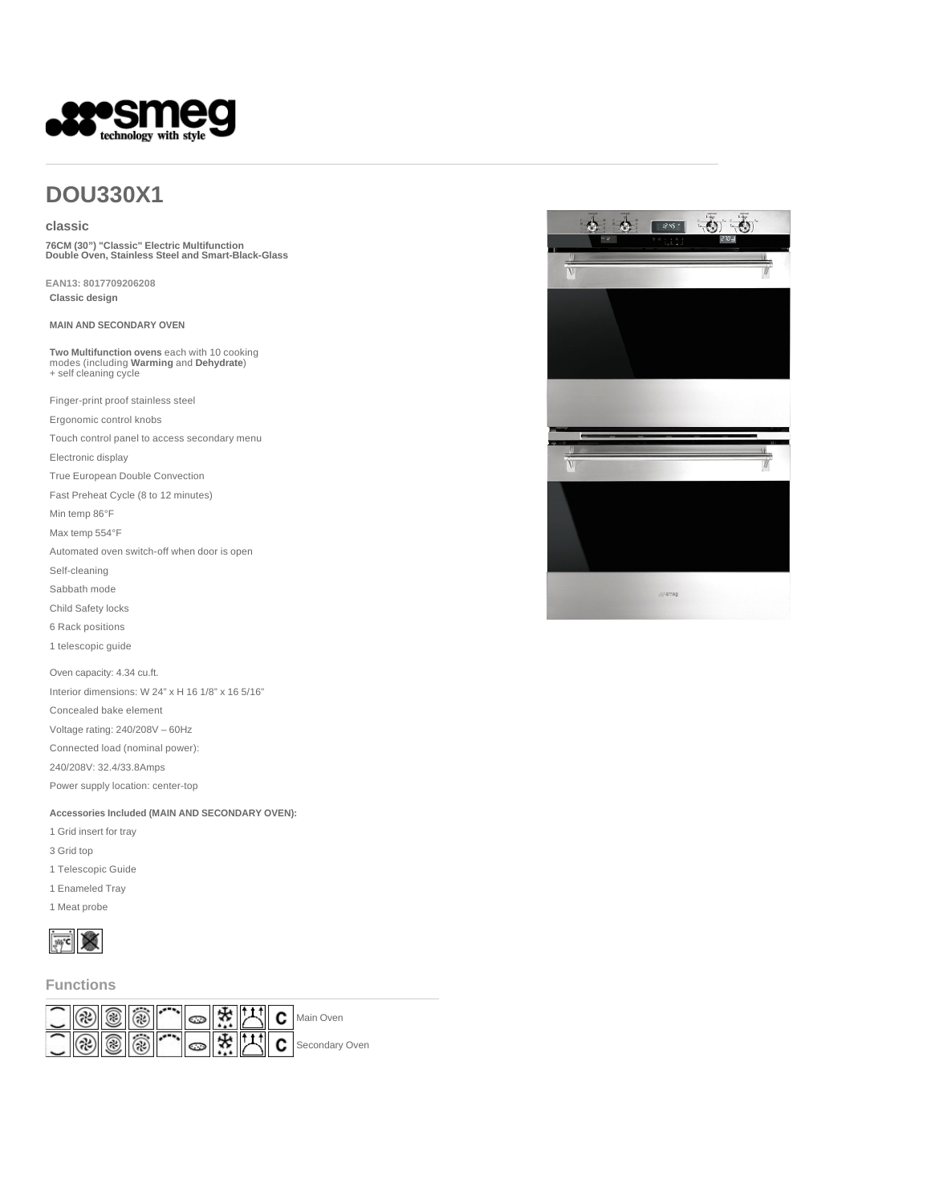

# **DOU330X1**

### **classic**

**76CM (30") "Classic" Electric Multifunction Double Oven, Stainless Steel and Smart-Black-Glass** 

**EAN13: 8017709206208 Classic design**

**MAIN AND SECONDARY OVEN**

**Two Multifunction ovens** each with 10 cooking modes (including **Warming** and **Dehydrate**) + self cleaning cycle

Finger-print proof stainless steel

Ergonomic control knobs

Touch control panel to access secondary menu

Electronic display

True European Double Convection

Fast Preheat Cycle (8 to 12 minutes)

Min temp 86°F

Max temp 554°F

Automated oven switch-off when door is open

Self-cleaning

Sabbath mode

Child Safety locks

6 Rack positions

1 telescopic guide

Oven capacity: 4.34 cu.ft.

Interior dimensions: W 24" x H 16 1/8" x 16 5/16" Concealed bake element Voltage rating: 240/208V – 60Hz

Connected load (nominal power):

240/208V: 32.4/33.8Amps

Power supply location: center-top

**Accessories Included (MAIN AND SECONDARY OVEN):**

1 Grid insert for tray

3 Grid top

1 Telescopic Guide

1 Enameled Tray

1 Meat probe



**Functions**



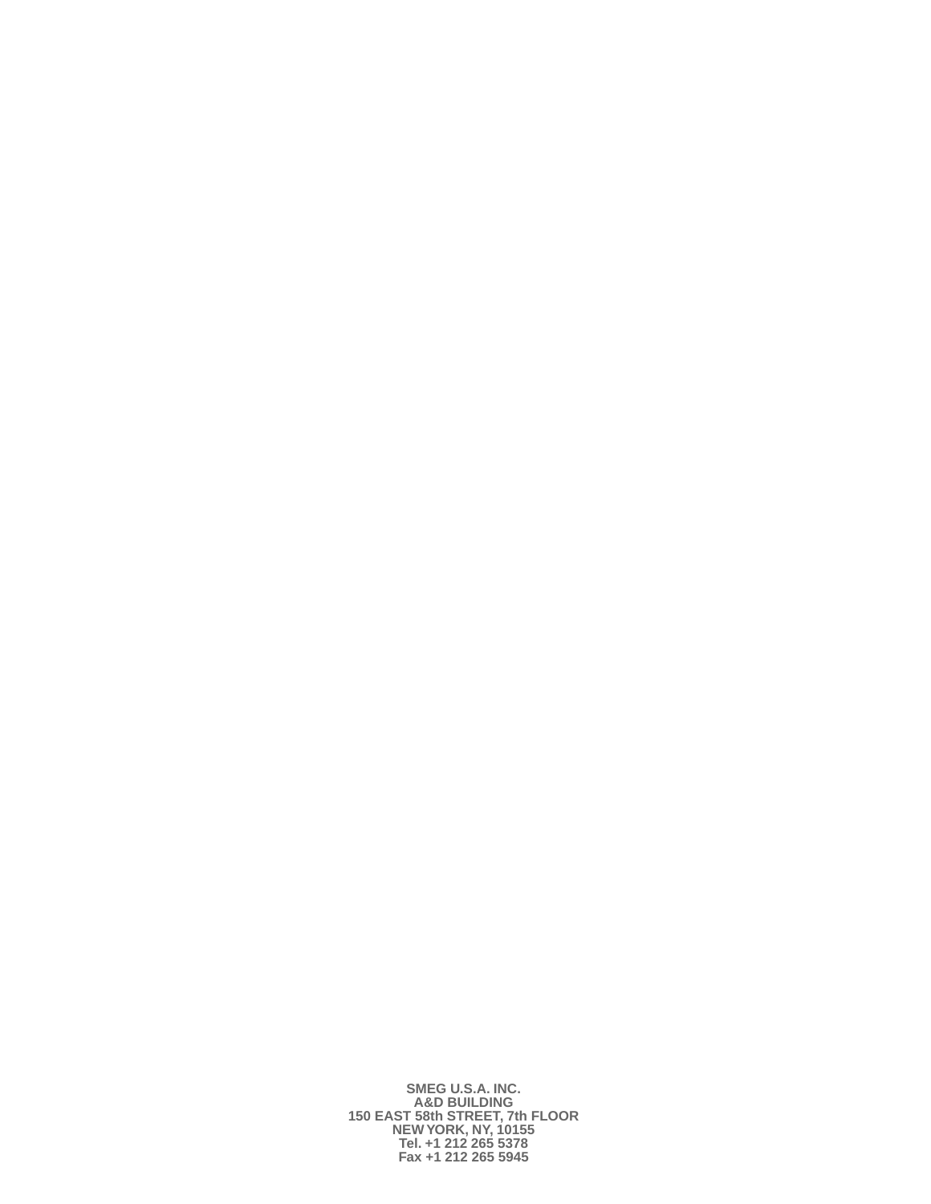**SMEG U.S.A. INC. A&D BUILDING 150 EAST 58th STREET, 7th FLOOR NEW YORK, NY, 10155 Tel. +1 212 265 5378 Fax +1 212 265 5945**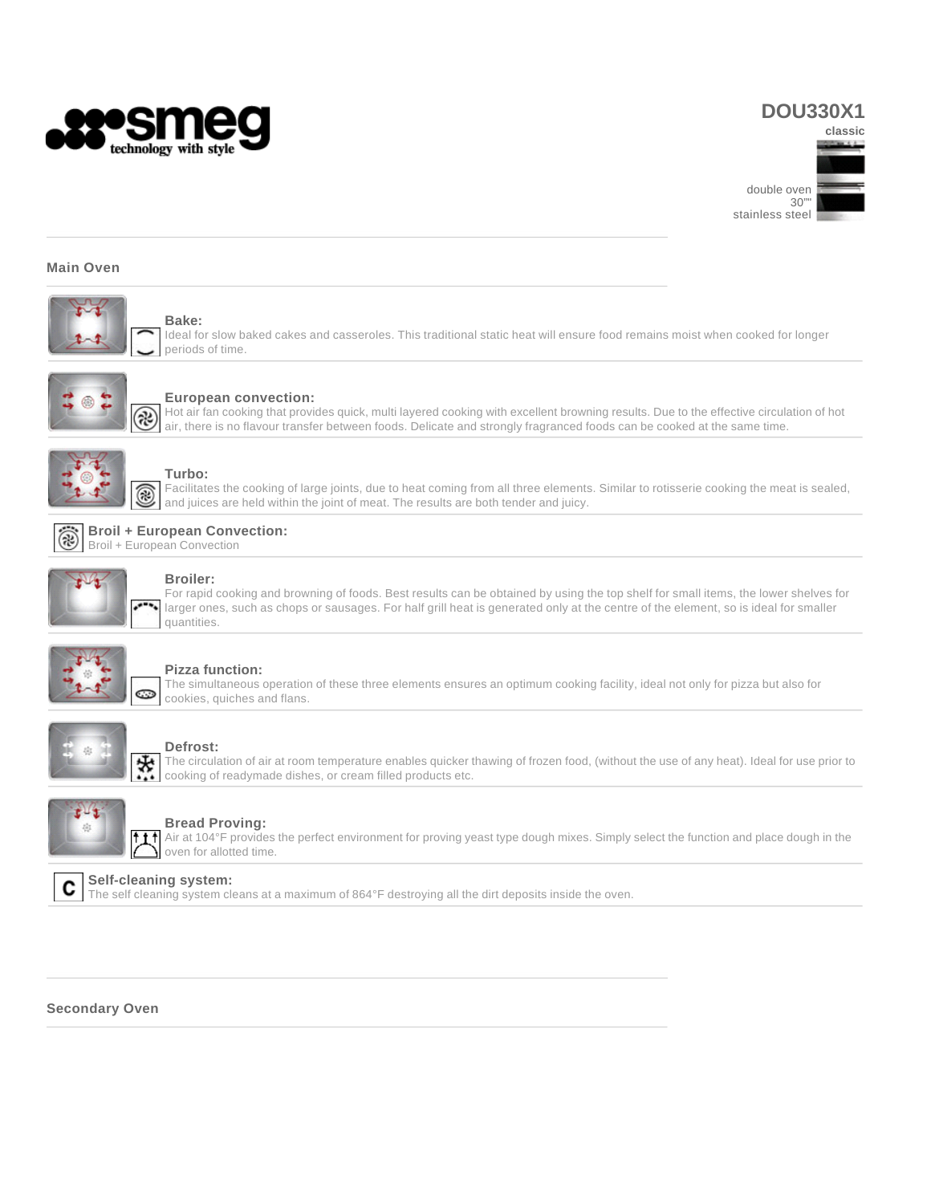

# **DOU330X1**



### **Main Oven**



**Bake:** Ideal for slow baked cakes and casseroles. This traditional static heat will ensure food remains moist when cooked for longer periods of time.



#### **European convection:**

Hot air fan cooking that provides quick, multi layered cooking with excellent browning results. Due to the effective circulation of hot air, there is no flavour transfer between foods. Delicate and strongly fragranced foods can be cooked at the same time.



### **Turbo:**

Facilitates the cooking of large joints, due to heat coming from all three elements. Similar to rotisserie cooking the meat is sealed, and juices are held within the joint of meat. The results are both tender and juicy.



### **Broiler:**

For rapid cooking and browning of foods. Best results can be obtained by using the top shelf for small items, the lower shelves for larger ones, such as chops or sausages. For half grill heat is generated only at the centre of the element, so is ideal for smaller quantities.



### **Pizza function:**

The simultaneous operation of these three elements ensures an optimum cooking facility, ideal not only for pizza but also for cookies, quiches and flans.



### **Defrost:**

The circulation of air at room temperature enables quicker thawing of frozen food, (without the use of any heat). Ideal for use prior to cooking of readymade dishes, or cream filled products etc.



### **Bread Proving:**

Air at 104°F provides the perfect environment for proving yeast type dough mixes. Simply select the function and place dough in the oven for allotted time.



## **Self-cleaning system:**

The self cleaning system cleans at a maximum of 864°F destroying all the dirt deposits inside the oven.

### **Secondary Oven**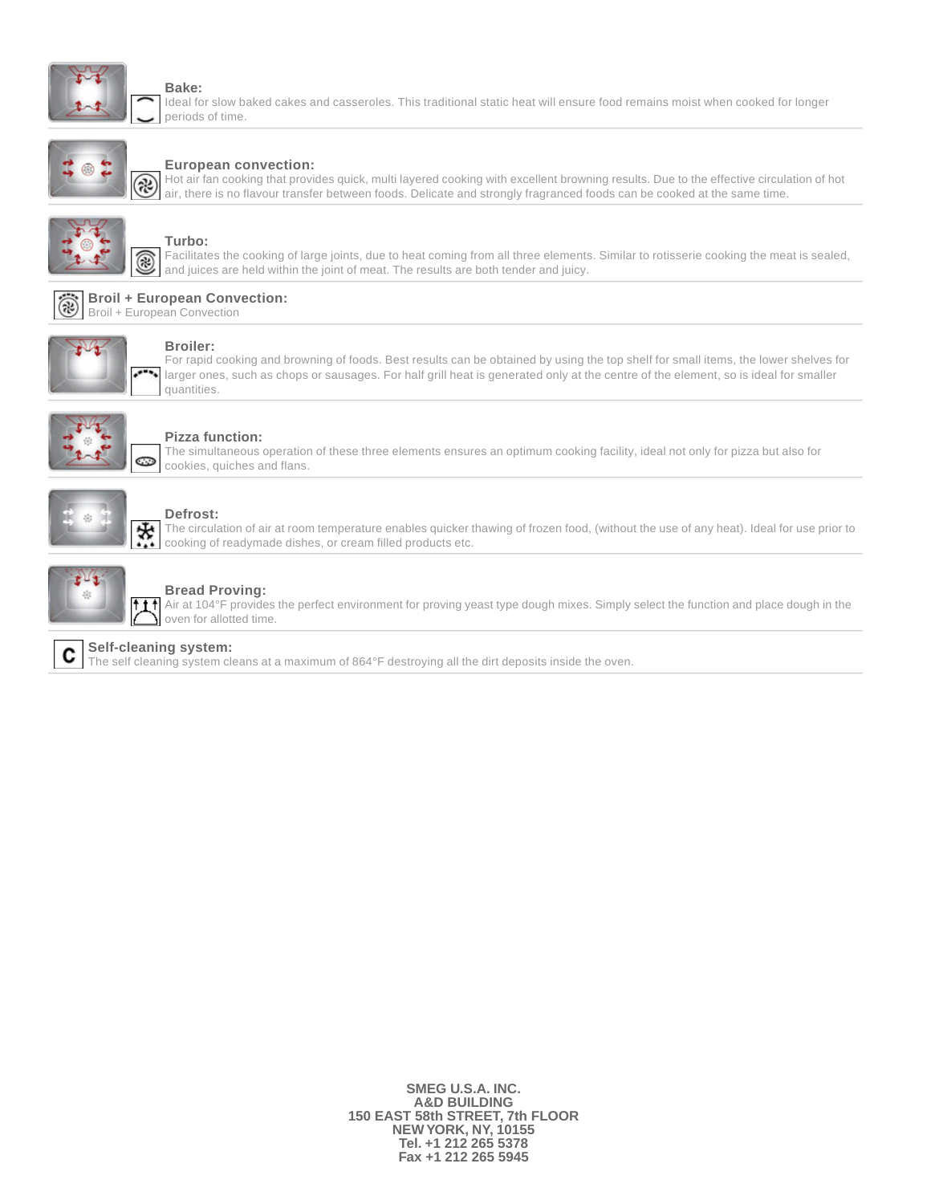

### **Bake:**

Ideal for slow baked cakes and casseroles. This traditional static heat will ensure food remains moist when cooked for longer periods of time.



### **European convection:**

Hot air fan cooking that provides quick, multi layered cooking with excellent browning results. Due to the effective circulation of hot air, there is no flavour transfer between foods. Delicate and strongly fragranced foods can be cooked at the same time.



## **Turbo:**

Facilitates the cooking of large joints, due to heat coming from all three elements. Similar to rotisserie cooking the meat is sealed, and juices are held within the joint of meat. The results are both tender and juicy.





### **Broiler:**

For rapid cooking and browning of foods. Best results can be obtained by using the top shelf for small items, the lower shelves for larger ones, such as chops or sausages. For half grill heat is generated only at the centre of the element, so is ideal for smaller quantities.



#### **Pizza function:**

The simultaneous operation of these three elements ensures an optimum cooking facility, ideal not only for pizza but also for cookies, quiches and flans.



#### **Defrost:**

The circulation of air at room temperature enables quicker thawing of frozen food, (without the use of any heat). Ideal for use prior to cooking of readymade dishes, or cream filled products etc.



### **Bread Proving:**

Air at 104°F provides the perfect environment for proving yeast type dough mixes. Simply select the function and place dough in the t t tl oven for allotted time.

#### **Self-cleaning system:** C

The self cleaning system cleans at a maximum of 864°F destroying all the dirt deposits inside the oven.

**SMEG U.S.A. INC. A&D BUILDING 150 EAST 58th STREET, 7th FLOOR NEW YORK, NY, 10155 Tel. +1 212 265 5378 Fax +1 212 265 5945**